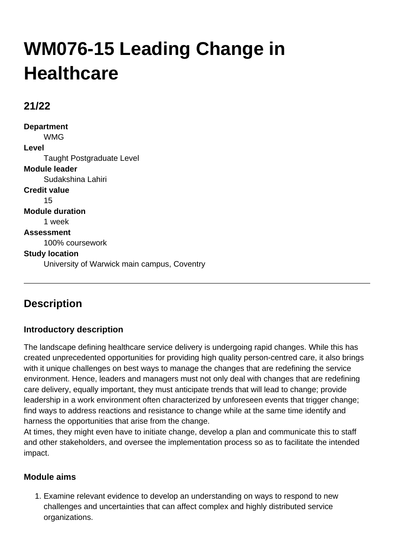# **WM076-15 Leading Change in Healthcare**

## **21/22**

**Department** WMG **Level** Taught Postgraduate Level **Module leader** Sudakshina Lahiri **Credit value** 15 **Module duration** 1 week **Assessment** 100% coursework **Study location** University of Warwick main campus, Coventry

# **Description**

## **Introductory description**

The landscape defining healthcare service delivery is undergoing rapid changes. While this has created unprecedented opportunities for providing high quality person-centred care, it also brings with it unique challenges on best ways to manage the changes that are redefining the service environment. Hence, leaders and managers must not only deal with changes that are redefining care delivery, equally important, they must anticipate trends that will lead to change; provide leadership in a work environment often characterized by unforeseen events that trigger change; find ways to address reactions and resistance to change while at the same time identify and harness the opportunities that arise from the change.

At times, they might even have to initiate change, develop a plan and communicate this to staff and other stakeholders, and oversee the implementation process so as to facilitate the intended impact.

#### **Module aims**

Examine relevant evidence to develop an understanding on ways to respond to new 1. challenges and uncertainties that can affect complex and highly distributed service organizations.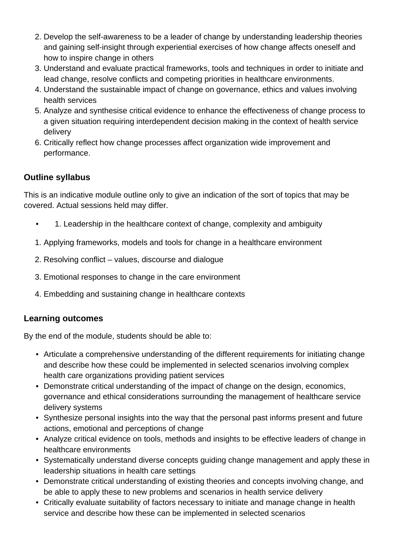- 2. Develop the self-awareness to be a leader of change by understanding leadership theories and gaining self-insight through experiential exercises of how change affects oneself and how to inspire change in others
- 3. Understand and evaluate practical frameworks, tools and techniques in order to initiate and lead change, resolve conflicts and competing priorities in healthcare environments.
- 4. Understand the sustainable impact of change on governance, ethics and values involving health services
- 5. Analyze and synthesise critical evidence to enhance the effectiveness of change process to a given situation requiring interdependent decision making in the context of health service delivery
- 6. Critically reflect how change processes affect organization wide improvement and performance.

#### **Outline syllabus**

This is an indicative module outline only to give an indication of the sort of topics that may be covered. Actual sessions held may differ.

- 1. Leadership in the healthcare context of change, complexity and ambiguity
- 1. Applying frameworks, models and tools for change in a healthcare environment
- 2. Resolving conflict values, discourse and dialogue
- 3. Emotional responses to change in the care environment
- 4. Embedding and sustaining change in healthcare contexts

#### **Learning outcomes**

By the end of the module, students should be able to:

- Articulate a comprehensive understanding of the different requirements for initiating change and describe how these could be implemented in selected scenarios involving complex health care organizations providing patient services
- Demonstrate critical understanding of the impact of change on the design, economics, governance and ethical considerations surrounding the management of healthcare service delivery systems
- Synthesize personal insights into the way that the personal past informs present and future actions, emotional and perceptions of change
- Analyze critical evidence on tools, methods and insights to be effective leaders of change in healthcare environments
- Systematically understand diverse concepts guiding change management and apply these in leadership situations in health care settings
- Demonstrate critical understanding of existing theories and concepts involving change, and be able to apply these to new problems and scenarios in health service delivery
- Critically evaluate suitability of factors necessary to initiate and manage change in health service and describe how these can be implemented in selected scenarios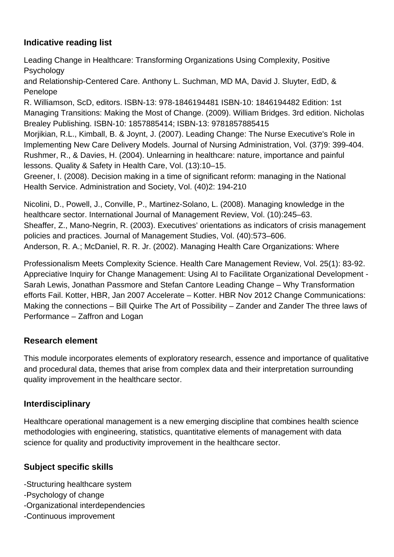## **Indicative reading list**

Leading Change in Healthcare: Transforming Organizations Using Complexity, Positive Psychology

and Relationship-Centered Care. Anthony L. Suchman, MD MA, David J. Sluyter, EdD, & Penelope

R. Williamson, ScD, editors. ISBN-13: 978-1846194481 ISBN-10: 1846194482 Edition: 1st Managing Transitions: Making the Most of Change. (2009). William Bridges. 3rd edition. Nicholas Brealey Publishing. ISBN-10: 1857885414; ISBN-13: 9781857885415

Morjikian, R.L., Kimball, B. & Joynt, J. (2007). Leading Change: The Nurse Executive's Role in Implementing New Care Delivery Models. Journal of Nursing Administration, Vol. (37)9: 399-404. Rushmer, R., & Davies, H. (2004). Unlearning in healthcare: nature, importance and painful lessons. Quality & Safety in Health Care, Vol. (13):10–15.

Greener, I. (2008). Decision making in a time of significant reform: managing in the National Health Service. Administration and Society, Vol. (40)2: 194-210

Nicolini, D., Powell, J., Conville, P., Martinez-Solano, L. (2008). Managing knowledge in the healthcare sector. International Journal of Management Review, Vol. (10):245–63. Sheaffer, Z., Mano-Negrin, R. (2003). Executives' orientations as indicators of crisis management policies and practices. Journal of Management Studies, Vol. (40):573–606. Anderson, R. A.; McDaniel, R. R. Jr. (2002). Managing Health Care Organizations: Where

Professionalism Meets Complexity Science. Health Care Management Review, Vol. 25(1): 83-92. Appreciative Inquiry for Change Management: Using AI to Facilitate Organizational Development - Sarah Lewis, Jonathan Passmore and Stefan Cantore Leading Change – Why Transformation efforts Fail. Kotter, HBR, Jan 2007 Accelerate – Kotter. HBR Nov 2012 Change Communications: Making the connections – Bill Quirke The Art of Possibility – Zander and Zander The three laws of Performance – Zaffron and Logan

## **Research element**

This module incorporates elements of exploratory research, essence and importance of qualitative and procedural data, themes that arise from complex data and their interpretation surrounding quality improvement in the healthcare sector.

## **Interdisciplinary**

Healthcare operational management is a new emerging discipline that combines health science methodologies with engineering, statistics, quantitative elements of management with data science for quality and productivity improvement in the healthcare sector.

## **Subject specific skills**

-Structuring healthcare system

- -Psychology of change
- -Organizational interdependencies
- -Continuous improvement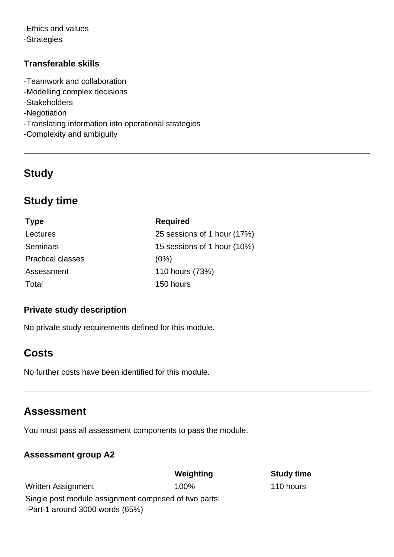-Ethics and values -Strategies

#### **Transferable skills**

- -Teamwork and collaboration
- -Modelling complex decisions
- -Stakeholders
- -Negotiation
- -Translating information into operational strategies
- -Complexity and ambiguity

# **Study**

# **Study time**

| <b>Type</b>              | <b>Required</b><br>25 sessions of 1 hour (17%) |  |
|--------------------------|------------------------------------------------|--|
| Lectures                 |                                                |  |
| <b>Seminars</b>          | 15 sessions of 1 hour (10%)                    |  |
| <b>Practical classes</b> | (0%)                                           |  |
| Assessment               | 110 hours (73%)                                |  |
| Total                    | 150 hours                                      |  |

#### **Private study description**

No private study requirements defined for this module.

## **Costs**

No further costs have been identified for this module.

## **Assessment**

You must pass all assessment components to pass the module.

#### **Assessment group A2**

|                                                       | Weighting | <b>Study time</b> |
|-------------------------------------------------------|-----------|-------------------|
| Written Assignment                                    | 100%      | 110 hours         |
| Single post module assignment comprised of two parts: |           |                   |
| -Part-1 around 3000 words $(65%)$                     |           |                   |